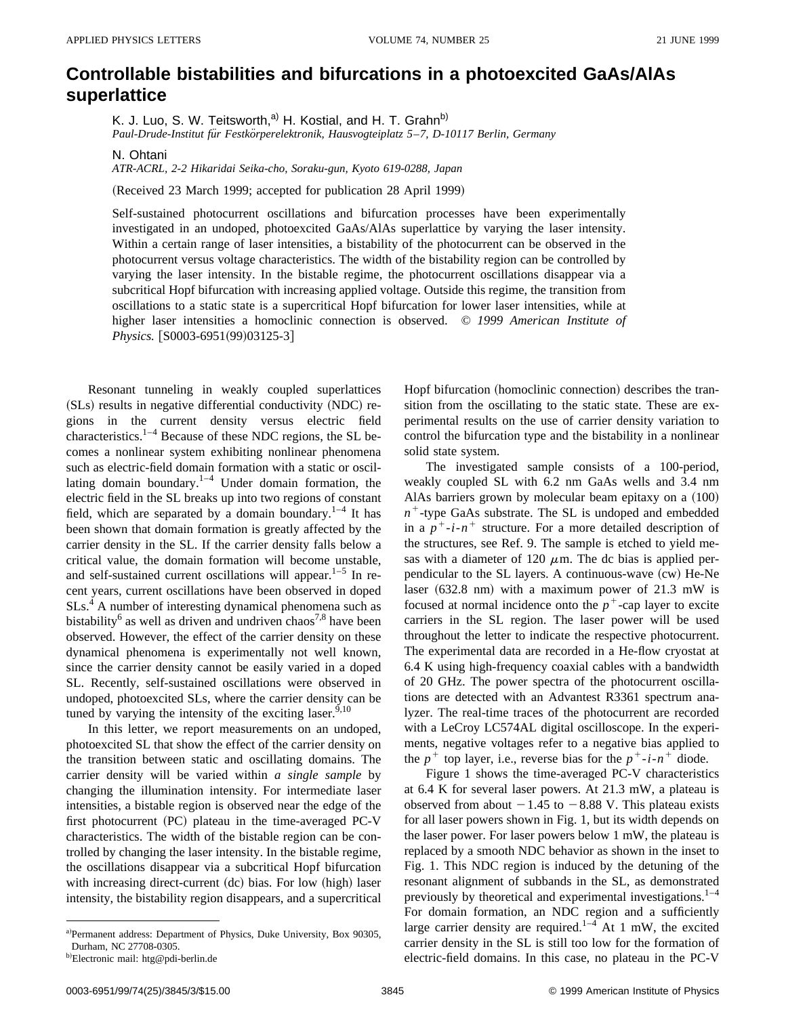## **Controllable bistabilities and bifurcations in a photoexcited GaAs/AlAs superlattice**

K. J. Luo, S. W. Teitsworth,<sup>a)</sup> H. Kostial, and H. T. Grahn<sup>b)</sup> *Paul-Drude-Institut fu¨r Festko¨rperelektronik, Hausvogteiplatz 5*–*7, D-10117 Berlin, Germany*

N. Ohtani

*ATR-ACRL, 2-2 Hikaridai Seika-cho, Soraku-gun, Kyoto 619-0288, Japan*

(Received 23 March 1999; accepted for publication 28 April 1999)

Self-sustained photocurrent oscillations and bifurcation processes have been experimentally investigated in an undoped, photoexcited GaAs/AlAs superlattice by varying the laser intensity. Within a certain range of laser intensities, a bistability of the photocurrent can be observed in the photocurrent versus voltage characteristics. The width of the bistability region can be controlled by varying the laser intensity. In the bistable regime, the photocurrent oscillations disappear via a subcritical Hopf bifurcation with increasing applied voltage. Outside this regime, the transition from oscillations to a static state is a supercritical Hopf bifurcation for lower laser intensities, while at higher laser intensities a homoclinic connection is observed. © *1999 American Institute of Physics.* [S0003-6951(99)03125-3]

Resonant tunneling in weakly coupled superlattices  $(SLs)$  results in negative differential conductivity  $(NDC)$  regions in the current density versus electric field characteristics.<sup>1–4</sup> Because of these NDC regions, the SL becomes a nonlinear system exhibiting nonlinear phenomena such as electric-field domain formation with a static or oscillating domain boundary.<sup>1–4</sup> Under domain formation, the electric field in the SL breaks up into two regions of constant field, which are separated by a domain boundary.<sup>1–4</sup> It has been shown that domain formation is greatly affected by the carrier density in the SL. If the carrier density falls below a critical value, the domain formation will become unstable, and self-sustained current oscillations will appear. $1-5$  In recent years, current oscillations have been observed in doped  $SLs<sup>4</sup>$  A number of interesting dynamical phenomena such as bistability<sup>6</sup> as well as driven and undriven chaos<sup>7,8</sup> have been observed. However, the effect of the carrier density on these dynamical phenomena is experimentally not well known, since the carrier density cannot be easily varied in a doped SL. Recently, self-sustained oscillations were observed in undoped, photoexcited SLs, where the carrier density can be tuned by varying the intensity of the exciting laser.  $9,10$ 

In this letter, we report measurements on an undoped, photoexcited SL that show the effect of the carrier density on the transition between static and oscillating domains. The carrier density will be varied within *a single sample* by changing the illumination intensity. For intermediate laser intensities, a bistable region is observed near the edge of the first photocurrent  $(PC)$  plateau in the time-averaged PC-V characteristics. The width of the bistable region can be controlled by changing the laser intensity. In the bistable regime, the oscillations disappear via a subcritical Hopf bifurcation with increasing direct-current (dc) bias. For low (high) laser intensity, the bistability region disappears, and a supercritical Hopf bifurcation (homoclinic connection) describes the transition from the oscillating to the static state. These are experimental results on the use of carrier density variation to control the bifurcation type and the bistability in a nonlinear solid state system.

The investigated sample consists of a 100-period, weakly coupled SL with 6.2 nm GaAs wells and 3.4 nm AlAs barriers grown by molecular beam epitaxy on a  $(100)$  $n^+$ -type GaAs substrate. The SL is undoped and embedded in a  $p^+$ -*i*- $n^+$  structure. For a more detailed description of the structures, see Ref. 9. The sample is etched to yield mesas with a diameter of 120  $\mu$ m. The dc bias is applied perpendicular to the SL layers. A continuous-wave  $(cw)$  He-Ne laser  $(632.8 \text{ nm})$  with a maximum power of 21.3 mW is focused at normal incidence onto the  $p^+$ -cap layer to excite carriers in the SL region. The laser power will be used throughout the letter to indicate the respective photocurrent. The experimental data are recorded in a He-flow cryostat at 6.4 K using high-frequency coaxial cables with a bandwidth of 20 GHz. The power spectra of the photocurrent oscillations are detected with an Advantest R3361 spectrum analyzer. The real-time traces of the photocurrent are recorded with a LeCroy LC574AL digital oscilloscope. In the experiments, negative voltages refer to a negative bias applied to the  $p^+$  top layer, i.e., reverse bias for the  $p^+$ -*i*- $n^+$  diode.

Figure 1 shows the time-averaged PC-V characteristics at 6.4 K for several laser powers. At 21.3 mW, a plateau is observed from about  $-1.45$  to  $-8.88$  V. This plateau exists for all laser powers shown in Fig. 1, but its width depends on the laser power. For laser powers below 1 mW, the plateau is replaced by a smooth NDC behavior as shown in the inset to Fig. 1. This NDC region is induced by the detuning of the resonant alignment of subbands in the SL, as demonstrated previously by theoretical and experimental investigations. $1-4$ For domain formation, an NDC region and a sufficiently large carrier density are required.<sup>1–4</sup> At 1 mW, the excited carrier density in the SL is still too low for the formation of electric-field domains. In this case, no plateau in the PC-V

a)Permanent address: Department of Physics, Duke University, Box 90305, Durham, NC 27708-0305.

<sup>&</sup>lt;sup>b)</sup>Electronic mail: htg@pdi-berlin.de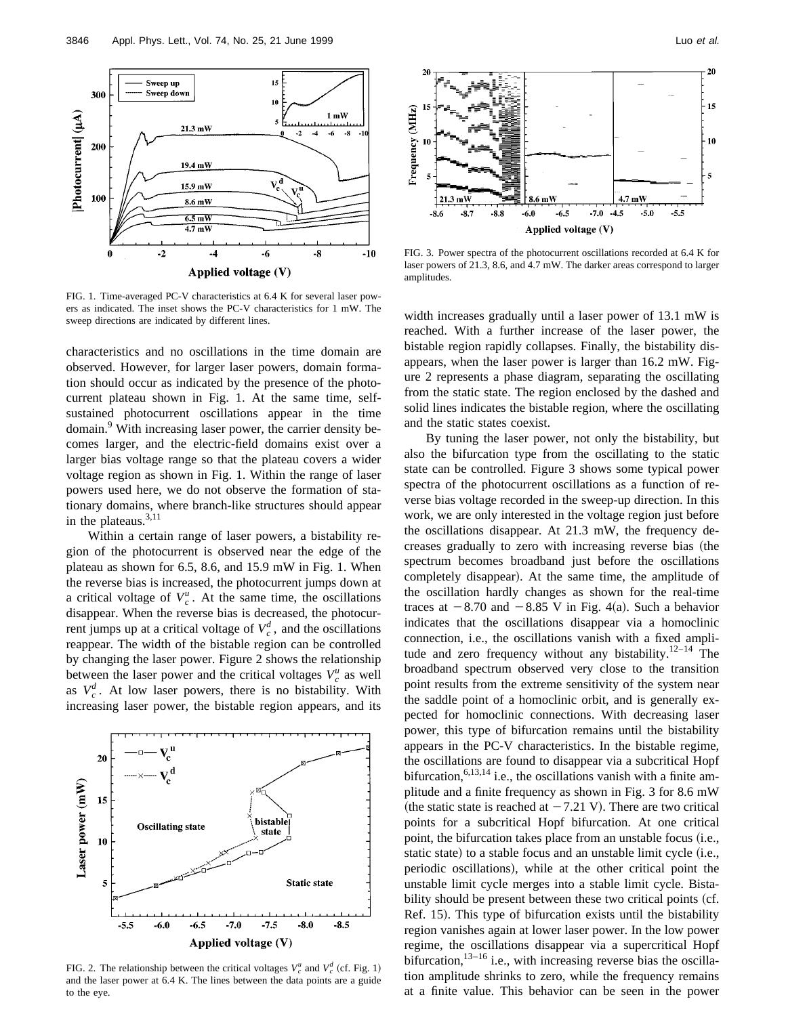

FIG. 1. Time-averaged PC-V characteristics at 6.4 K for several laser powers as indicated. The inset shows the PC-V characteristics for 1 mW. The sweep directions are indicated by different lines.

characteristics and no oscillations in the time domain are observed. However, for larger laser powers, domain formation should occur as indicated by the presence of the photocurrent plateau shown in Fig. 1. At the same time, selfsustained photocurrent oscillations appear in the time domain.<sup>9</sup> With increasing laser power, the carrier density becomes larger, and the electric-field domains exist over a larger bias voltage range so that the plateau covers a wider voltage region as shown in Fig. 1. Within the range of laser powers used here, we do not observe the formation of stationary domains, where branch-like structures should appear in the plateaus.3,11

Within a certain range of laser powers, a bistability region of the photocurrent is observed near the edge of the plateau as shown for 6.5, 8.6, and 15.9 mW in Fig. 1. When the reverse bias is increased, the photocurrent jumps down at a critical voltage of  $V_c^u$ . At the same time, the oscillations disappear. When the reverse bias is decreased, the photocurrent jumps up at a critical voltage of  $V_c^d$ , and the oscillations reappear. The width of the bistable region can be controlled by changing the laser power. Figure 2 shows the relationship between the laser power and the critical voltages  $V_c^u$  as well as  $V_c^d$ . At low laser powers, there is no bistability. With increasing laser power, the bistable region appears, and its



FIG. 2. The relationship between the critical voltages  $V_c^u$  and  $V_c^d$  (cf. Fig. 1) and the laser power at 6.4 K. The lines between the data points are a guide to the eye.



FIG. 3. Power spectra of the photocurrent oscillations recorded at 6.4 K for laser powers of 21.3, 8.6, and 4.7 mW. The darker areas correspond to larger amplitudes.

width increases gradually until a laser power of 13.1 mW is reached. With a further increase of the laser power, the bistable region rapidly collapses. Finally, the bistability disappears, when the laser power is larger than 16.2 mW. Figure 2 represents a phase diagram, separating the oscillating from the static state. The region enclosed by the dashed and solid lines indicates the bistable region, where the oscillating and the static states coexist.

By tuning the laser power, not only the bistability, but also the bifurcation type from the oscillating to the static state can be controlled. Figure 3 shows some typical power spectra of the photocurrent oscillations as a function of reverse bias voltage recorded in the sweep-up direction. In this work, we are only interested in the voltage region just before the oscillations disappear. At 21.3 mW, the frequency decreases gradually to zero with increasing reverse bias (the spectrum becomes broadband just before the oscillations completely disappear). At the same time, the amplitude of the oscillation hardly changes as shown for the real-time traces at  $-8.70$  and  $-8.85$  V in Fig. 4(a). Such a behavior indicates that the oscillations disappear via a homoclinic connection, i.e., the oscillations vanish with a fixed amplitude and zero frequency without any bistability. $12-14$  The broadband spectrum observed very close to the transition point results from the extreme sensitivity of the system near the saddle point of a homoclinic orbit, and is generally expected for homoclinic connections. With decreasing laser power, this type of bifurcation remains until the bistability appears in the PC-V characteristics. In the bistable regime, the oscillations are found to disappear via a subcritical Hopf bifurcation,  $6,13,14$  i.e., the oscillations vanish with a finite amplitude and a finite frequency as shown in Fig. 3 for 8.6 mW (the static state is reached at  $-7.21$  V). There are two critical points for a subcritical Hopf bifurcation. At one critical point, the bifurcation takes place from an unstable focus (i.e., static state) to a stable focus and an unstable limit cycle (i.e., periodic oscillations), while at the other critical point the unstable limit cycle merges into a stable limit cycle. Bistability should be present between these two critical points (cf. Ref. 15). This type of bifurcation exists until the bistability region vanishes again at lower laser power. In the low power regime, the oscillations disappear via a supercritical Hopf bifurcation, $13-16$  i.e., with increasing reverse bias the oscillation amplitude shrinks to zero, while the frequency remains at a finite value. This behavior can be seen in the power